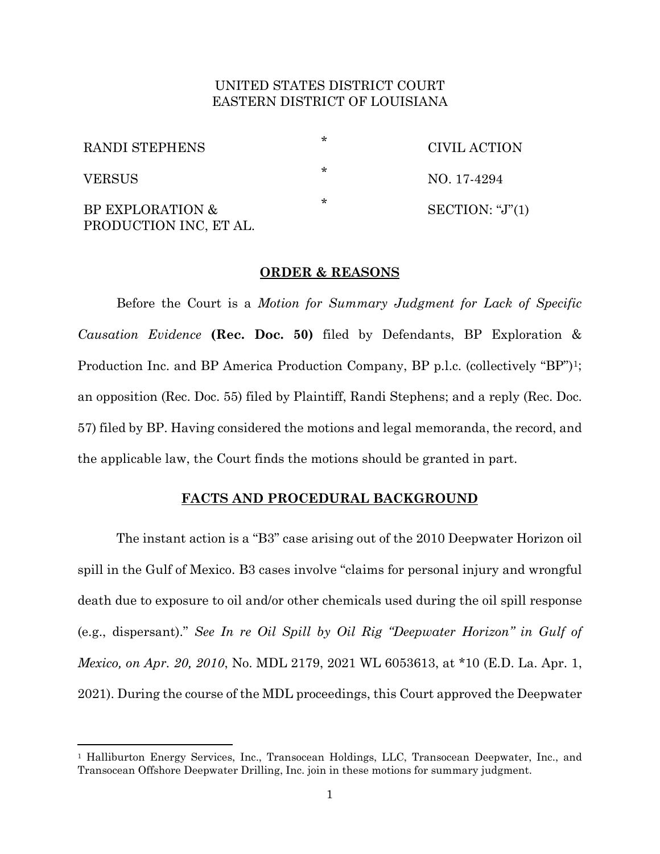# UNITED STATES DISTRICT COURT EASTERN DISTRICT OF LOUISIANA

| RANDI STEPHENS                             | ∗ | CIVIL ACTION           |
|--------------------------------------------|---|------------------------|
| <b>VERSUS</b>                              | * | NO. 17-4294            |
| BP EXPLORATION &<br>PRODUCTION INC, ET AL. | ∗ | SECTION: " $J$ " $(1)$ |

# **ORDER & REASONS**

Before the Court is a *Motion for Summary Judgment for Lack of Specific Causation Evidence* **(Rec. Doc. 50)** filed by Defendants, BP Exploration & Production Inc. and BP America Production Company, BP p.l.c. (collectively "BP")1; an opposition (Rec. Doc. 55) filed by Plaintiff, Randi Stephens; and a reply (Rec. Doc. 57) filed by BP. Having considered the motions and legal memoranda, the record, and the applicable law, the Court finds the motions should be granted in part.

## **FACTS AND PROCEDURAL BACKGROUND**

The instant action is a "B3" case arising out of the 2010 Deepwater Horizon oil spill in the Gulf of Mexico. B3 cases involve "claims for personal injury and wrongful death due to exposure to oil and/or other chemicals used during the oil spill response (e.g., dispersant)." *See In re Oil Spill by Oil Rig "Deepwater Horizon" in Gulf of Mexico, on Apr. 20, 2010*, No. MDL 2179, 2021 WL 6053613, at \*10 (E.D. La. Apr. 1, 2021). During the course of the MDL proceedings, this Court approved the Deepwater

<sup>1</sup> Halliburton Energy Services, Inc., Transocean Holdings, LLC, Transocean Deepwater, Inc., and Transocean Offshore Deepwater Drilling, Inc. join in these motions for summary judgment.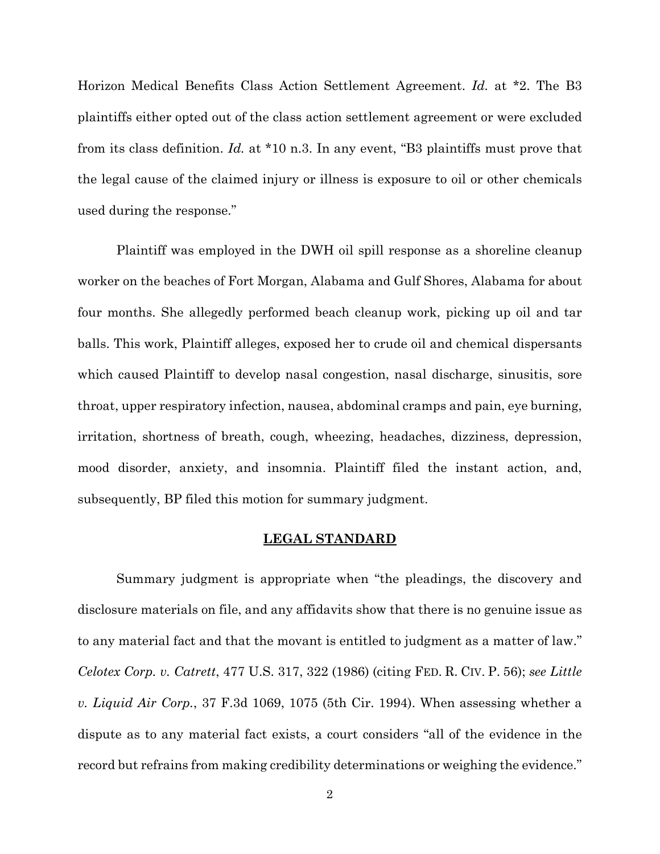Horizon Medical Benefits Class Action Settlement Agreement. *Id.* at \*2. The B3 plaintiffs either opted out of the class action settlement agreement or were excluded from its class definition. *Id.* at \*10 n.3. In any event, "B3 plaintiffs must prove that the legal cause of the claimed injury or illness is exposure to oil or other chemicals used during the response."

Plaintiff was employed in the DWH oil spill response as a shoreline cleanup worker on the beaches of Fort Morgan, Alabama and Gulf Shores, Alabama for about four months. She allegedly performed beach cleanup work, picking up oil and tar balls. This work, Plaintiff alleges, exposed her to crude oil and chemical dispersants which caused Plaintiff to develop nasal congestion, nasal discharge, sinusitis, sore throat, upper respiratory infection, nausea, abdominal cramps and pain, eye burning, irritation, shortness of breath, cough, wheezing, headaches, dizziness, depression, mood disorder, anxiety, and insomnia. Plaintiff filed the instant action, and, subsequently, BP filed this motion for summary judgment.

#### **LEGAL STANDARD**

Summary judgment is appropriate when "the pleadings, the discovery and disclosure materials on file, and any affidavits show that there is no genuine issue as to any material fact and that the movant is entitled to judgment as a matter of law." *Celotex Corp. v. Catrett*, 477 U.S. 317, 322 (1986) (citing FED. R. CIV. P. 56); *see Little v. Liquid Air Corp.*, 37 F.3d 1069, 1075 (5th Cir. 1994). When assessing whether a dispute as to any material fact exists, a court considers "all of the evidence in the record but refrains from making credibility determinations or weighing the evidence."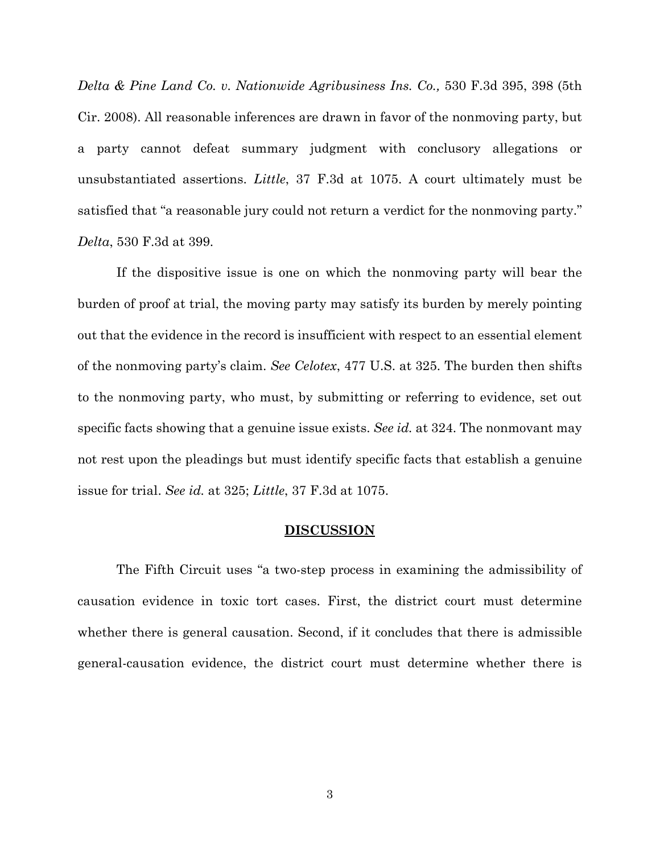*Delta & Pine Land Co. v. Nationwide Agribusiness Ins. Co.,* 530 F.3d 395, 398 (5th Cir. 2008). All reasonable inferences are drawn in favor of the nonmoving party, but a party cannot defeat summary judgment with conclusory allegations or unsubstantiated assertions. *Little*, 37 F.3d at 1075. A court ultimately must be satisfied that "a reasonable jury could not return a verdict for the nonmoving party." *Delta*, 530 F.3d at 399.

If the dispositive issue is one on which the nonmoving party will bear the burden of proof at trial, the moving party may satisfy its burden by merely pointing out that the evidence in the record is insufficient with respect to an essential element of the nonmoving party's claim. *See Celotex*, 477 U.S. at 325. The burden then shifts to the nonmoving party, who must, by submitting or referring to evidence, set out specific facts showing that a genuine issue exists. *See id.* at 324. The nonmovant may not rest upon the pleadings but must identify specific facts that establish a genuine issue for trial. *See id.* at 325; *Little*, 37 F.3d at 1075.

# **DISCUSSION**

The Fifth Circuit uses "a two-step process in examining the admissibility of causation evidence in toxic tort cases. First, the district court must determine whether there is general causation. Second, if it concludes that there is admissible general-causation evidence, the district court must determine whether there is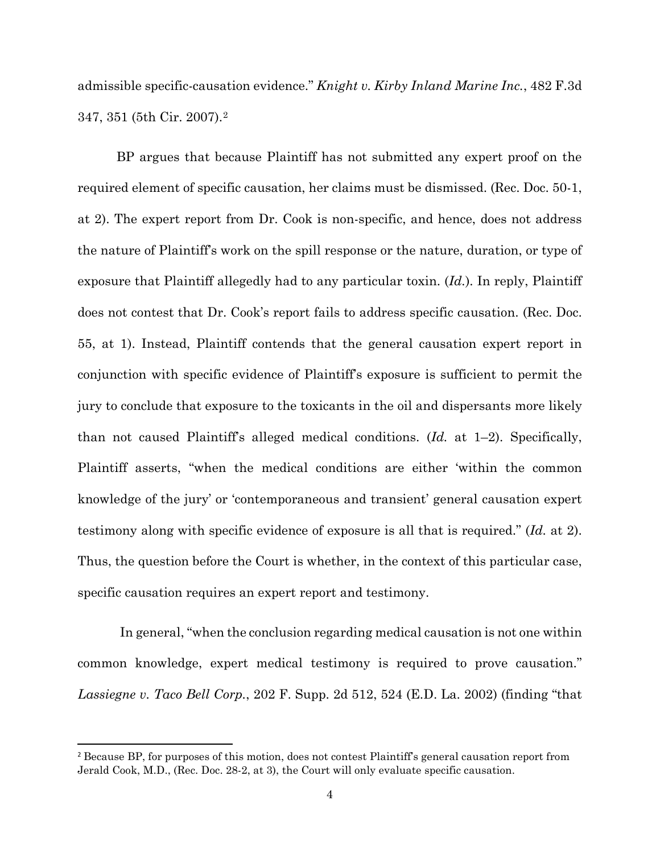admissible specific-causation evidence." *Knight v. Kirby Inland Marine Inc.*, 482 F.3d 347, 351 (5th Cir. 2007).2

BP argues that because Plaintiff has not submitted any expert proof on the required element of specific causation, her claims must be dismissed. (Rec. Doc. 50-1, at 2). The expert report from Dr. Cook is non-specific, and hence, does not address the nature of Plaintiff's work on the spill response or the nature, duration, or type of exposure that Plaintiff allegedly had to any particular toxin. (*Id.*). In reply, Plaintiff does not contest that Dr. Cook's report fails to address specific causation. (Rec. Doc. 55, at 1). Instead, Plaintiff contends that the general causation expert report in conjunction with specific evidence of Plaintiff's exposure is sufficient to permit the jury to conclude that exposure to the toxicants in the oil and dispersants more likely than not caused Plaintiff's alleged medical conditions. (*Id.* at 1–2). Specifically, Plaintiff asserts, "when the medical conditions are either 'within the common knowledge of the jury' or 'contemporaneous and transient' general causation expert testimony along with specific evidence of exposure is all that is required." (*Id.* at 2). Thus, the question before the Court is whether, in the context of this particular case, specific causation requires an expert report and testimony.

 In general, "when the conclusion regarding medical causation is not one within common knowledge, expert medical testimony is required to prove causation." *Lassiegne v. Taco Bell Corp.*, 202 F. Supp. 2d 512, 524 (E.D. La. 2002) (finding "that

<sup>&</sup>lt;sup>2</sup> Because BP, for purposes of this motion, does not contest Plaintiff's general causation report from Jerald Cook, M.D., (Rec. Doc. 28-2, at 3), the Court will only evaluate specific causation.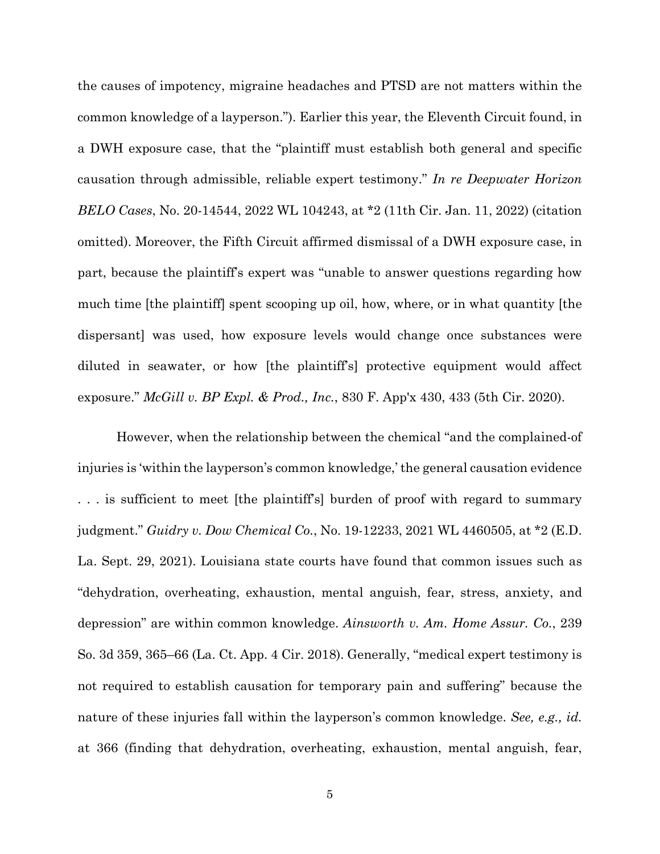the causes of impotency, migraine headaches and PTSD are not matters within the common knowledge of a layperson."). Earlier this year, the Eleventh Circuit found, in a DWH exposure case, that the "plaintiff must establish both general and specific causation through admissible, reliable expert testimony." *In re Deepwater Horizon BELO Cases*, No. 20-14544, 2022 WL 104243, at \*2 (11th Cir. Jan. 11, 2022) (citation omitted). Moreover, the Fifth Circuit affirmed dismissal of a DWH exposure case, in part, because the plaintiff's expert was "unable to answer questions regarding how much time [the plaintiff] spent scooping up oil, how, where, or in what quantity [the dispersant] was used, how exposure levels would change once substances were diluted in seawater, or how [the plaintiff's] protective equipment would affect exposure." *McGill v. BP Expl. & Prod., Inc.*, 830 F. App'x 430, 433 (5th Cir. 2020).

However, when the relationship between the chemical "and the complained-of injuries is 'within the layperson's common knowledge,' the general causation evidence . . . is sufficient to meet [the plaintiff's] burden of proof with regard to summary judgment." *Guidry v. Dow Chemical Co.*, No. 19-12233, 2021 WL 4460505, at \*2 (E.D. La. Sept. 29, 2021). Louisiana state courts have found that common issues such as "dehydration, overheating, exhaustion, mental anguish, fear, stress, anxiety, and depression" are within common knowledge. *Ainsworth v. Am. Home Assur. Co.*, 239 So. 3d 359, 365–66 (La. Ct. App. 4 Cir. 2018). Generally, "medical expert testimony is not required to establish causation for temporary pain and suffering" because the nature of these injuries fall within the layperson's common knowledge. *See, e.g., id.* at 366 (finding that dehydration, overheating, exhaustion, mental anguish, fear,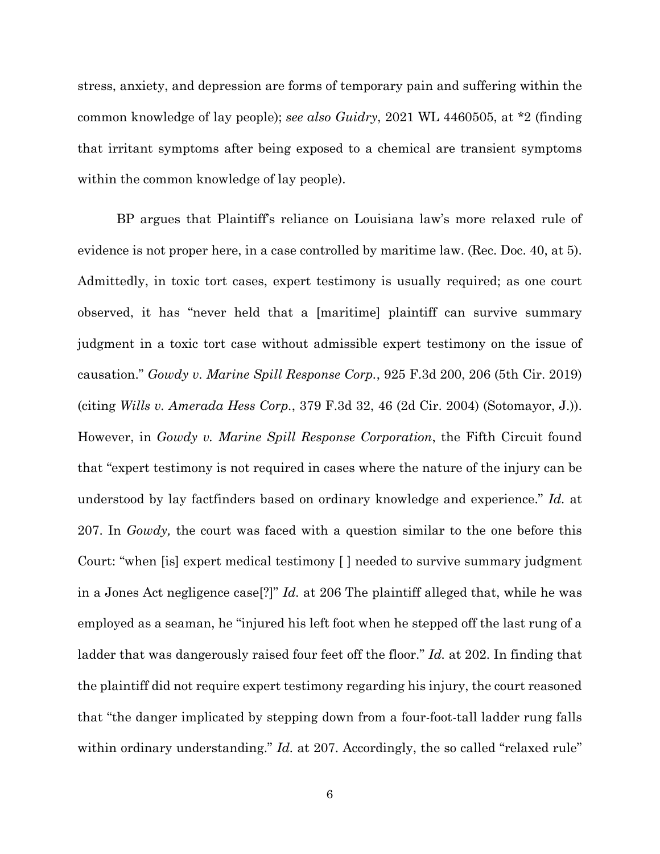stress, anxiety, and depression are forms of temporary pain and suffering within the common knowledge of lay people); *see also Guidry*, 2021 WL 4460505, at \*2 (finding that irritant symptoms after being exposed to a chemical are transient symptoms within the common knowledge of lay people).

BP argues that Plaintiff's reliance on Louisiana law's more relaxed rule of evidence is not proper here, in a case controlled by maritime law. (Rec. Doc. 40, at 5). Admittedly, in toxic tort cases, expert testimony is usually required; as one court observed, it has "never held that a [maritime] plaintiff can survive summary judgment in a toxic tort case without admissible expert testimony on the issue of causation." *Gowdy v. Marine Spill Response Corp.*, 925 F.3d 200, 206 (5th Cir. 2019) (citing *Wills v. Amerada Hess Corp.*, 379 F.3d 32, 46 (2d Cir. 2004) (Sotomayor, J.)). However, in *Gowdy v. Marine Spill Response Corporation*, the Fifth Circuit found that "expert testimony is not required in cases where the nature of the injury can be understood by lay factfinders based on ordinary knowledge and experience." *Id.* at 207. In *Gowdy,* the court was faced with a question similar to the one before this Court: "when [is] expert medical testimony [ ] needed to survive summary judgment in a Jones Act negligence case[?]" *Id.* at 206 The plaintiff alleged that, while he was employed as a seaman, he "injured his left foot when he stepped off the last rung of a ladder that was dangerously raised four feet off the floor." *Id.* at 202. In finding that the plaintiff did not require expert testimony regarding his injury, the court reasoned that "the danger implicated by stepping down from a four-foot-tall ladder rung falls within ordinary understanding." *Id.* at 207. Accordingly, the so called "relaxed rule"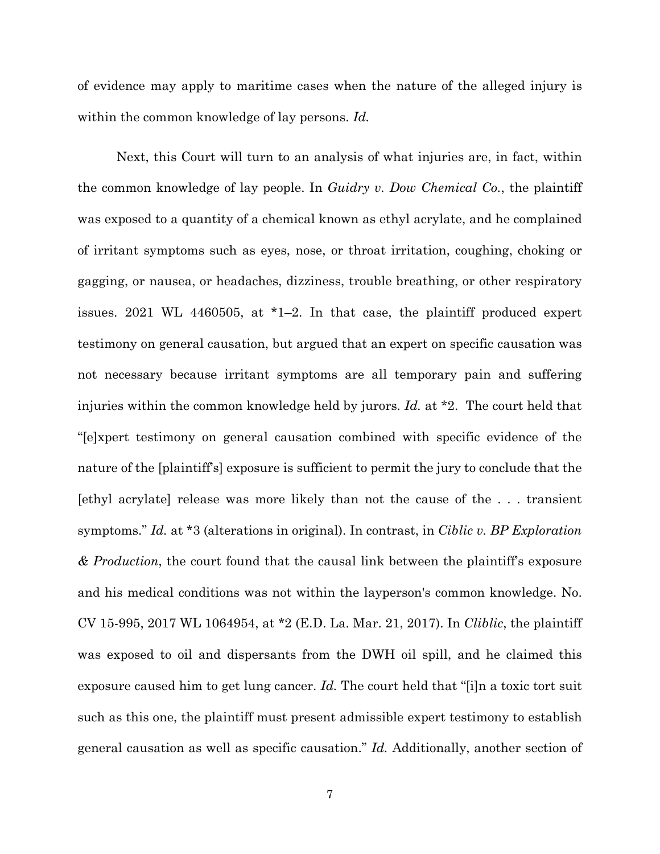of evidence may apply to maritime cases when the nature of the alleged injury is within the common knowledge of lay persons. *Id.*

Next, this Court will turn to an analysis of what injuries are, in fact, within the common knowledge of lay people. In *Guidry v. Dow Chemical Co.*, the plaintiff was exposed to a quantity of a chemical known as ethyl acrylate, and he complained of irritant symptoms such as eyes, nose, or throat irritation, coughing, choking or gagging, or nausea, or headaches, dizziness, trouble breathing, or other respiratory issues. 2021 WL 4460505, at \*1–2. In that case, the plaintiff produced expert testimony on general causation, but argued that an expert on specific causation was not necessary because irritant symptoms are all temporary pain and suffering injuries within the common knowledge held by jurors. *Id.* at \*2. The court held that "[e]xpert testimony on general causation combined with specific evidence of the nature of the [plaintiff's] exposure is sufficient to permit the jury to conclude that the [ethyl acrylate] release was more likely than not the cause of the . . . transient symptoms." *Id.* at \*3 (alterations in original). In contrast, in *Ciblic v. BP Exploration & Production*, the court found that the causal link between the plaintiff's exposure and his medical conditions was not within the layperson's common knowledge. No. CV 15-995, 2017 WL 1064954, at \*2 (E.D. La. Mar. 21, 2017). In *Cliblic*, the plaintiff was exposed to oil and dispersants from the DWH oil spill, and he claimed this exposure caused him to get lung cancer. *Id.* The court held that "[i]n a toxic tort suit such as this one, the plaintiff must present admissible expert testimony to establish general causation as well as specific causation." *Id.* Additionally, another section of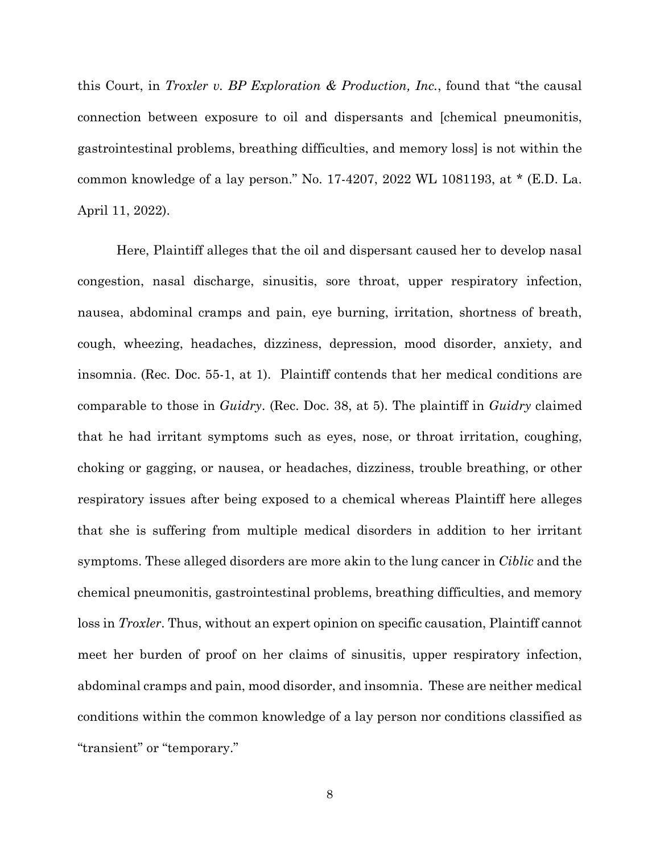this Court, in *Troxler v. BP Exploration & Production, Inc.*, found that "the causal connection between exposure to oil and dispersants and [chemical pneumonitis, gastrointestinal problems, breathing difficulties, and memory loss] is not within the common knowledge of a lay person." No. 17-4207, 2022 WL 1081193, at \* (E.D. La. April 11, 2022).

Here, Plaintiff alleges that the oil and dispersant caused her to develop nasal congestion, nasal discharge, sinusitis, sore throat, upper respiratory infection, nausea, abdominal cramps and pain, eye burning, irritation, shortness of breath, cough, wheezing, headaches, dizziness, depression, mood disorder, anxiety, and insomnia. (Rec. Doc. 55-1, at 1). Plaintiff contends that her medical conditions are comparable to those in *Guidry*. (Rec. Doc. 38, at 5). The plaintiff in *Guidry* claimed that he had irritant symptoms such as eyes, nose, or throat irritation, coughing, choking or gagging, or nausea, or headaches, dizziness, trouble breathing, or other respiratory issues after being exposed to a chemical whereas Plaintiff here alleges that she is suffering from multiple medical disorders in addition to her irritant symptoms. These alleged disorders are more akin to the lung cancer in *Ciblic* and the chemical pneumonitis, gastrointestinal problems, breathing difficulties, and memory loss in *Troxler*. Thus, without an expert opinion on specific causation, Plaintiff cannot meet her burden of proof on her claims of sinusitis, upper respiratory infection, abdominal cramps and pain, mood disorder, and insomnia. These are neither medical conditions within the common knowledge of a lay person nor conditions classified as "transient" or "temporary."